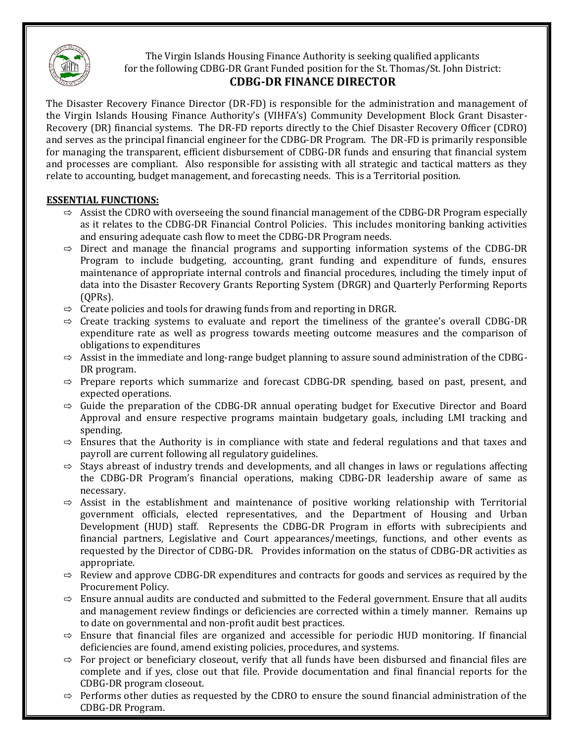

The Virgin Islands Housing Finance Authority is seeking qualified applicants for the following CDBG-DR Grant Funded position for the St. Thomas/St. John District:

## **CDBG-DR FINANCE DIRECTOR**

The Disaster Recovery Finance Director (DR-FD) is responsible for the administration and management of the Virgin Islands Housing Finance Authority's (VIHFA's) Community Development Block Grant Disaster-Recovery (DR) financial systems. The DR-FD reports directly to the Chief Disaster Recovery Officer (CDRO) and serves as the principal financial engineer for the CDBG-DR Program. The DR-FD is primarily responsible for managing the transparent, efficient disbursement of CDBG-DR funds and ensuring that financial system and processes are compliant. Also responsible for assisting with all strategic and tactical matters as they relate to accounting, budget management, and forecasting needs. This is a Territorial position.

## **ESSENTIAL FUNCTIONS:**

- $\Rightarrow$  Assist the CDRO with overseeing the sound financial management of the CDBG-DR Program especially as it relates to the CDBG-DR Financial Control Policies. This includes monitoring banking activities and ensuring adequate cash flow to meet the CDBG-DR Program needs.
- $\Rightarrow$  Direct and manage the financial programs and supporting information systems of the CDBG-DR Program to include budgeting, accounting, grant funding and expenditure of funds, ensures maintenance of appropriate internal controls and financial procedures, including the timely input of data into the Disaster Recovery Grants Reporting System (DRGR) and Quarterly Performing Reports (QPRs).
- $\Rightarrow$  Create policies and tools for drawing funds from and reporting in DRGR.
- $\Rightarrow$  Create tracking systems to evaluate and report the timeliness of the grantee's overall CDBG-DR expenditure rate as well as progress towards meeting outcome measures and the comparison of obligations to expenditures
- $\Rightarrow$  Assist in the immediate and long-range budget planning to assure sound administration of the CDBG-DR program.
- $\Rightarrow$  Prepare reports which summarize and forecast CDBG-DR spending, based on past, present, and expected operations.
- $\Rightarrow$  Guide the preparation of the CDBG-DR annual operating budget for Executive Director and Board Approval and ensure respective programs maintain budgetary goals, including LMI tracking and spending.
- $\Rightarrow$  Ensures that the Authority is in compliance with state and federal regulations and that taxes and payroll are current following all regulatory guidelines.
- $\Rightarrow$  Stays abreast of industry trends and developments, and all changes in laws or regulations affecting the CDBG-DR Program's financial operations, making CDBG-DR leadership aware of same as necessary.
- $\Rightarrow$  Assist in the establishment and maintenance of positive working relationship with Territorial government officials, elected representatives, and the Department of Housing and Urban Development (HUD) staff. Represents the CDBG-DR Program in efforts with subrecipients and financial partners, Legislative and Court appearances/meetings, functions, and other events as requested by the Director of CDBG-DR. Provides information on the status of CDBG-DR activities as appropriate.
- $\Rightarrow$  Review and approve CDBG-DR expenditures and contracts for goods and services as required by the Procurement Policy.
- $\Rightarrow$  Ensure annual audits are conducted and submitted to the Federal government. Ensure that all audits and management review findings or deficiencies are corrected within a timely manner. Remains up to date on governmental and non-profit audit best practices.
- $\Rightarrow$  Ensure that financial files are organized and accessible for periodic HUD monitoring. If financial deficiencies are found, amend existing policies, procedures, and systems.
- $\Rightarrow$  For project or beneficiary closeout, verify that all funds have been disbursed and financial files are complete and if yes, close out that file. Provide documentation and final financial reports for the CDBG-DR program closeout.
- $\Rightarrow$  Performs other duties as requested by the CDRO to ensure the sound financial administration of the CDBG-DR Program.